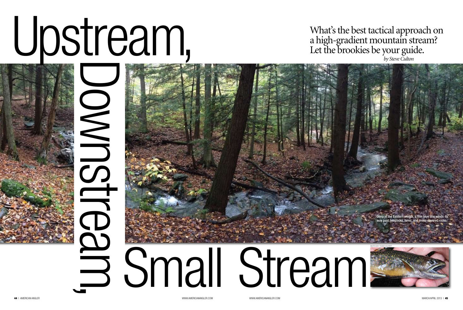# Upstream,



44 I AMERICAN ANGLER WWW.AMERICANANGLER.COM MARCH/APRIL 2013 I 45

# Downstream,

Deep in the Eastern woods, a thin blue line winds its  $\nu$ av past hemlocks, ferns, and moss-covered rock

### What's the best tactical approach on a high-gradient mountain stream? Let the brookies be your guide. *by Steve Culton*

both by todd kuhrt

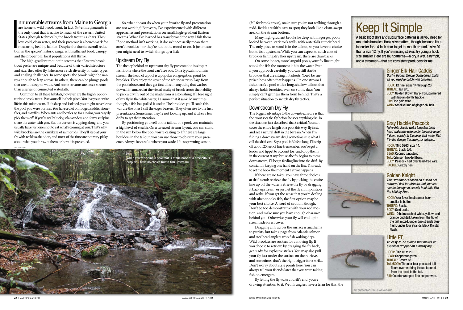### nnumerable streams from Maine to Georgia

 $\begin{array}{c}\n\frac{1}{2} \\
\frac{1}{2} \\
\frac{1}{2} \\
\frac{1}{2} \\
\frac{1}{2} \\
\frac{1}{2} \\
\frac{1}{2} \\
\frac{1}{2} \\
\frac{1}{2} \\
\frac{1}{2} \\
\frac{1}{2} \\
\frac{1}{2} \\
\frac{1}{2} \\
\frac{1}{2} \\
\frac{1}{2} \\
\frac{1}{2} \\
\frac{1}{2} \\
\frac{1}{2} \\
\frac{1}{2} \\
\frac{1}{2} \\
\frac{1}{2} \\
\frac{1}{2} \\
\frac{1}{2} \\
\frac{1}{2} \\
\frac{1}{2} \\
\frac{1}{2} \\
\frac{1$ are home to wild brook trout. In fact, *Salvelinus fontinalis* is the only trout that is native to much of the eastern United States (though technically, the brook trout is a char). They love cold, clean water, and their presence is a benchmark for measuring healthy habitat. Despite the drastic overall reduction in the species' historic range, with sufficient food, canopy, and the proper pH, local populations still thrive.

The high-gradient mountain streams that Eastern brook trout prefer are unique, and because of their varied structure and size, they offer fly fishermen a rich diversity of water types and angling challenges. In some spots, the brook might be narrow enough to leap across. In others, there can be plunge pools that are too deep to wade. And some streams are less a stream than a series of connected waterfalls.

Common to all these habitats, however, are the highly opportunistic brook trout. Put yourself in their place. You live your entire life in this microcosm. If it's deep and isolated, you might never leave the pool you were born in. You have a diet of midges, caddis, stoneflies, and mayflies. When ants and beetles go for a swim, you eagerly pick them off. If you're really lucky, salamanders and slimy sculpins share the water with you. But the current is zipping along, and you usually have just one shot to eat what's coming at you. That's why wild brookies are the kamikaze of salmonids: They'll leap at your fly with reckless abandon, and most of the time are not very picky about what you throw at them or how it is presented.

So, what do you do when your favorite fly and presentation are not working? For years, I've experimented with different approaches and presentations on small, high-gradient Eastern streams. What I've learned has transformed the way I fish them. If one method isn't working, it doesn't necessarily mean there aren't brookies—or they're not in the mood to eat. It just means you might need to switch things up a little.

### Upstream Dry Fly

The theory behind an upstream dry fly presentation is simple: Fish from where the trout can't see you. On a typical mountain stream, the head of a pool is a popular congregation point for brookies. They enjoy the cover of the white-water spillage from the pool above, and they get first dibs on anything that washes down. I'm amazed at the visual acuity of brook trout; their ability to pick a dry fly out of the maelstrom is astonishing. If I lose sight of my fly in the white water, I assume that it sank. Many times, though, a fish has pulled it under. The brookies you'll catch this way are the ones I call the eager beavers. They often rise to the first presentation. Sometimes they're not looking up, and it takes a few drifts to get their attention.

By positioning yourself at the tailout of a pool, you maintain a high level of stealth. On a terraced stream layout, you can stand in the run below the pool you're casting to. If there are large boulders in the tailout, you can use those to obscure your presence. Always be careful where you wade. If it's spawning season

(fall for brook trout), make sure you're not walking through a redd. Redds are fairly easy to spot; they look like a clean-swept area on the stream bottom.

Many high-gradient brooks lie deep within gorges, pools locked between stark rock walls, with waterfalls at their head. The only place to stand is in the tailout, so you have no choice but to fish upstream. While you can expect to catch a lot of brookies fishing dry flies upstream, there are drawbacks.

> Hook: Your favorite streamer hook smaller is better. THREAD: Black. BODY: Gold braid.

Hook: Size 16 to 20. **BEAD: Copper tungsten.** Thread: Brown 8/0. TAIL/BODY: Three or four pheasant tail

fibers over working thread tapered from the bead to the tail. **RIB: Counterwrapped fine copper wire.** 



On some longer, more languid pools, your fly line might spook the fish the moment it hits the water. Even if you approach carefully, you can still startle brookies that are sitting in tailouts. You'd be surprised how often that happens. On one stream I fish, there's a pool with a long, shallow tailout that always holds brookies, even on sunny days. You simply can't get near them from behind. That's a perfect situation to switch dry fly tactics.

### Downstream Dry Fly

The biggest advantage to the downstream dry is that the trout sees the fly before he sees anything else. In the situation just described, that's critical. You can cover the entire length of a pool this way, fly first, and get a natural drift in the bargain. When I'm fishing a downstream dry, I sometimes use what I call the drift cast. Say a pool is 30 feet long. I'll strip off about 25 feet of line (remember, you've got a leader and tippet to account for) and drop the fly in the current at my feet. As the fly begins to move downstream, I'll begin feeding line into the drift. By constantly keeping one hand on the line, I'm ready to set the hook the moment a strike happens.

If there are no takes, you have three choices at drift's end: retrieve the fly by picking the entire line up off the water; retrieve the fly by dragging it back upstream; or just let the fly sit in position and wake. If you get the sense that you're dealing with uber-spooky fish, the first option may be your best choice. A word of caution, though. Don't be too demonstrative with your rod motion, and make sure you have enough clearance behind you. Otherwise, your fly will end up in streamside forest cover.

Dragging a fly across the surface is anathema to purists, but take a page from Atlantic salmon and steelhead anglers who fish waking drys. Wild brookies are suckers for a moving fly. If you choose to retrieve by dragging the fly back, get ready for explosive strikes. You may also pull your fly just under the surface on the retrieve, and sometimes that's the right trigger for a strike. Don't worry about style points here. You can always tell your friends later that you were taking fish on emergers.

By letting the fly wake at drift's end, you're drawing attention to it. Wet fly anglers have a term for this: the

# Keep It Simple

A basic kit of drys and subsurface patterns is all you need for mountain brookies. Hook size matters, though, because it's a lot easier for a 4-inch char to get its mouth around a size 20 than a size 12 fly. If you're missing strikes, try going a hook size smaller. Here are four patterns—a dry, a wet, a nymph, and a streamer—that are consistent producers for me.



Ginger Elk-Hair Caddis *Bushy. Buggy. Simple. Sometimes that's all you need to catch wild brookies.*

Hook: 1X fine, sizes 14 through 20. THREAD: Tan 8/0. Body: Golden Brown Hare-Tron, palmered with brown dry fly hackle. Rib: Fine gold wire. Wing: Small clump of ginger elk hair.



### Gray Hackle Peacock

*I give this classic wet a tungsten bead head and some wire under the body to get it down quickly in the deep, fast water. Fish it in the dangle, the swing, or stripped.*

Hook: TMC 5263, size 14. THREAD: Black 6/0. BEAD: Copper, tungsten. TAIL: Crimson hackle fibers. Body: Peacock herl over lead-free wire. Hackle: Grizzly hen.

### Golden Knight

*This streamer is based on a sand eel pattern I fish for stripers, but you can see its lineage in classic bucktails like the Mickey Finn.*

Wing: 10 hairs each of white, yellow, and orange bucktail, taken from the tip of the tail, mixed, under two strands blue flash, under four strands black Krystal Flash.

### Little PT

*An easy-to-tie nymph that makes an excellent dropper off a bushy dry.*